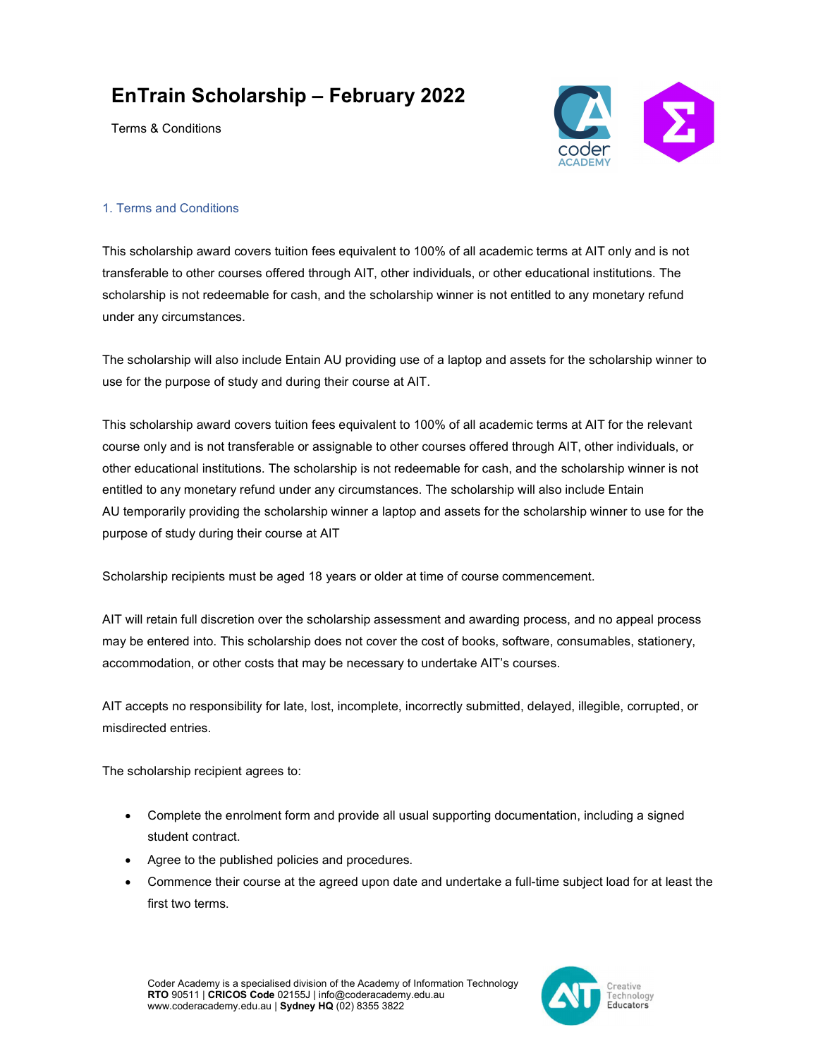## EnTrain Scholarship – February 2022

Terms & Conditions



## 1. Terms and Conditions

This scholarship award covers tuition fees equivalent to 100% of all academic terms at AIT only and is not transferable to other courses offered through AIT, other individuals, or other educational institutions. The scholarship is not redeemable for cash, and the scholarship winner is not entitled to any monetary refund under any circumstances.

The scholarship will also include Entain AU providing use of a laptop and assets for the scholarship winner to use for the purpose of study and during their course at AIT.

This scholarship award covers tuition fees equivalent to 100% of all academic terms at AIT for the relevant course only and is not transferable or assignable to other courses offered through AIT, other individuals, or other educational institutions. The scholarship is not redeemable for cash, and the scholarship winner is not entitled to any monetary refund under any circumstances. The scholarship will also include Entain AU temporarily providing the scholarship winner a laptop and assets for the scholarship winner to use for the purpose of study during their course at AIT

Scholarship recipients must be aged 18 years or older at time of course commencement.

AIT will retain full discretion over the scholarship assessment and awarding process, and no appeal process may be entered into. This scholarship does not cover the cost of books, software, consumables, stationery, accommodation, or other costs that may be necessary to undertake AIT's courses.

AIT accepts no responsibility for late, lost, incomplete, incorrectly submitted, delayed, illegible, corrupted, or misdirected entries.

The scholarship recipient agrees to:

- Complete the enrolment form and provide all usual supporting documentation, including a signed student contract.
- Agree to the published policies and procedures.
- Commence their course at the agreed upon date and undertake a full-time subject load for at least the first two terms.